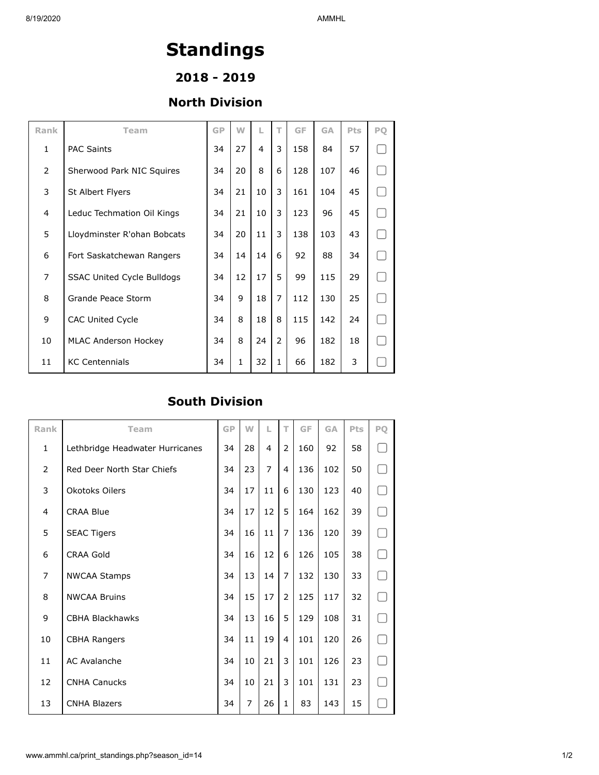## **Standings**

**2018 - 2019**

## **North Division**

| Rank           | Team                              | <b>GP</b> | W  | L  | T             | GF  | <b>GA</b> | Pts | PO |
|----------------|-----------------------------------|-----------|----|----|---------------|-----|-----------|-----|----|
| $\mathbf{1}$   | <b>PAC Saints</b>                 | 34        | 27 | 4  | 3             | 158 | 84        | 57  |    |
| 2              | Sherwood Park NIC Squires         | 34        | 20 | 8  | 6             | 128 | 107       | 46  |    |
| 3              | St Albert Flyers                  | 34        | 21 | 10 | 3             | 161 | 104       | 45  |    |
| 4              | Leduc Techmation Oil Kings        | 34        | 21 | 10 | 3             | 123 | 96        | 45  |    |
| 5              | Lloydminster R'ohan Bobcats       | 34        | 20 | 11 | 3             | 138 | 103       | 43  |    |
| 6              | Fort Saskatchewan Rangers         | 34        | 14 | 14 | 6             | 92  | 88        | 34  |    |
| $\overline{7}$ | <b>SSAC United Cycle Bulldogs</b> | 34        | 12 | 17 | 5             | 99  | 115       | 29  |    |
| 8              | Grande Peace Storm                | 34        | 9  | 18 | 7             | 112 | 130       | 25  |    |
| 9              | <b>CAC United Cycle</b>           | 34        | 8  | 18 | 8             | 115 | 142       | 24  |    |
| 10             | <b>MLAC Anderson Hockey</b>       | 34        | 8  | 24 | $\mathcal{P}$ | 96  | 182       | 18  |    |
| 11             | <b>KC Centennials</b>             | 34        | 1  | 32 | $\mathbf{1}$  | 66  | 182       | 3   |    |

## **South Division**

| Rank           | Team                            | GP | W  | L  | T             | GF  | <b>GA</b> | Pts | PO |
|----------------|---------------------------------|----|----|----|---------------|-----|-----------|-----|----|
| $\mathbf{1}$   | Lethbridge Headwater Hurricanes | 34 | 28 | 4  | 2             | 160 | 92        | 58  |    |
| $\overline{2}$ | Red Deer North Star Chiefs      | 34 | 23 | 7  | 4             | 136 | 102       | 50  |    |
| 3              | Okotoks Oilers                  | 34 | 17 | 11 | 6             | 130 | 123       | 40  |    |
| 4              | <b>CRAA Blue</b>                | 34 | 17 | 12 | 5             | 164 | 162       | 39  |    |
| 5              | <b>SEAC Tigers</b>              | 34 | 16 | 11 | 7             | 136 | 120       | 39  |    |
| 6              | <b>CRAA Gold</b>                | 34 | 16 | 12 | 6             | 126 | 105       | 38  |    |
| $\overline{7}$ | <b>NWCAA Stamps</b>             | 34 | 13 | 14 | 7             | 132 | 130       | 33  |    |
| 8              | <b>NWCAA Bruins</b>             | 34 | 15 | 17 | $\mathcal{P}$ | 125 | 117       | 32  |    |
| 9              | <b>CBHA Blackhawks</b>          | 34 | 13 | 16 | 5             | 129 | 108       | 31  |    |
| 10             | <b>CBHA Rangers</b>             | 34 | 11 | 19 | 4             | 101 | 120       | 26  |    |
| 11             | <b>AC Avalanche</b>             | 34 | 10 | 21 | 3             | 101 | 126       | 23  |    |
| 12             | <b>CNHA Canucks</b>             | 34 | 10 | 21 | 3             | 101 | 131       | 23  |    |
| 13             | <b>CNHA Blazers</b>             | 34 | 7  | 26 | $\mathbf{1}$  | 83  | 143       | 15  |    |